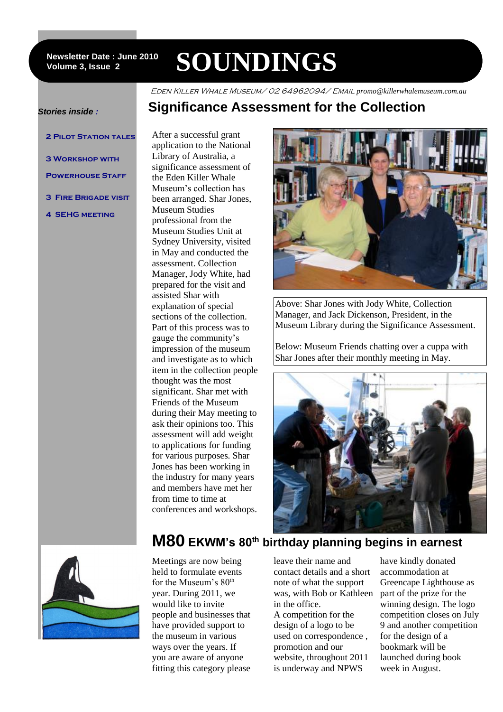#### **Newsletter Date : June 2010 Volume 3, Issue 2**

# **SOUNDINGS**

Eden Killer Whale Museum/ 02 64962094/ Email *promo@killerwhalemuseum.com.au*

### **Significance Assessment for the Collection**

#### *Stories inside :*

- **2 Pilot Station tales**
- **3 Workshop with**
- **POWERHOUSE STAFF**
- **3 Fire Brigade visit**
- **4 SEHG meeting**

application to the National Library of Australia, a significance assessment of the Eden Killer Whale Museum's collection has been arranged. Shar Jones, Museum Studies professional from the Museum Studies Unit at Sydney University, visited in May and conducted the assessment. Collection Manager, Jody White, had prepared for the visit and assisted Shar with explanation of special sections of the collection. Part of this process was to gauge the community's impression of the museum and investigate as to which item in the collection people thought was the most significant. Shar met with Friends of the Museum during their May meeting to ask their opinions too. This assessment will add weight to applications for funding for various purposes. Shar Jones has been working in the industry for many years and members have met her from time to time at conferences and workshops.

After a successful grant



Above: Shar Jones with Jody White, Collection Manager, and Jack Dickenson, President, in the Museum Library during the Significance Assessment.

Below: Museum Friends chatting over a cuppa with Shar Jones after their monthly meeting in May.





Meetings are now being held to formulate events for the Museum's  $80<sup>th</sup>$ year. During 2011, we would like to invite people and businesses that have provided support to the museum in various ways over the years. If you are aware of anyone fitting this category please leave their name and contact details and a short note of what the support was, with Bob or Kathleen in the office.

A competition for the design of a logo to be used on correspondence , promotion and our website, throughout 2011 is underway and NPWS

have kindly donated accommodation at Greencape Lighthouse as part of the prize for the winning design. The logo competition closes on July 9 and another competition for the design of a bookmark will be launched during book week in August.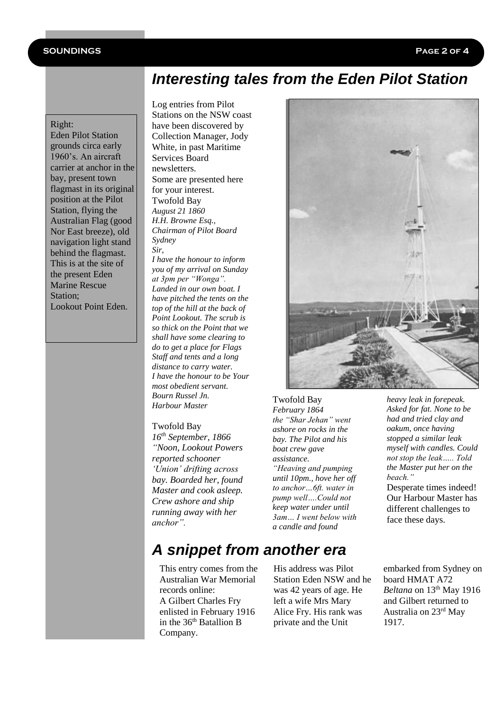### **SOUNDINGS Page 2 of 4**

### *Interesting tales from the Eden Pilot Station*

#### Right:

Eden Pilot Station grounds circa early 1960's. An aircraft carrier at anchor in the bay, present town flagmast in its original position at the Pilot Station, flying the Australian Flag (good Nor East breeze), old navigation light stand behind the flagmast. This is at the site of the present Eden Marine Rescue Station; Lookout Point Eden.

Log entries from Pilot Stations on the NSW coast have been discovered by Collection Manager, Jody White, in past Maritime Services Board newsletters. Some are presented here for your interest. Twofold Bay *August 21 1860 H.H. Browne Esq., Chairman of Pilot Board Sydney Sir,*

*I have the honour to inform you of my arrival on Sunday at 3pm per "Wonga". Landed in our own boat. I have pitched the tents on the top of the hill at the back of Point Lookout. The scrub is so thick on the Point that we shall have some clearing to do to get a place for Flags Staff and tents and a long distance to carry water. I have the honour to be Your most obedient servant. Bourn Russel Jn. Harbour Master*

#### Twofold Bay

*16th September, 1866 "Noon, Lookout Powers reported schooner 'Union' drifting across bay. Boarded her, found Master and cook asleep. Crew ashore and ship running away with her anchor".*



Twofold Bay *February 1864 the "Shar Jehan" went ashore on rocks in the bay. The Pilot and his boat crew gave assistance. "Heaving and pumping until 10pm., hove her off to anchor…6ft. water in pump well….Could not keep water under until 3am… I went below with a candle and found* 

*heavy leak in forepeak. Asked for fat. None to be had and tried clay and oakum, once having stopped a similar leak myself with candles. Could not stop the leak….. Told the Master put her on the beach."*

Desperate times indeed! Our Harbour Master has different challenges to face these days.

## *A snippet from another era*

This entry comes from the Australian War Memorial records online: A Gilbert Charles Fry enlisted in February 1916 in the  $36<sup>th</sup>$  Batallion B Company.

His address was Pilot Station Eden NSW and he was 42 years of age. He left a wife Mrs Mary Alice Fry. His rank was private and the Unit

embarked from Sydney on board HMAT A72 *Beltana* on 13<sup>th</sup> May 1916 and Gilbert returned to Australia on 23rd May 1917.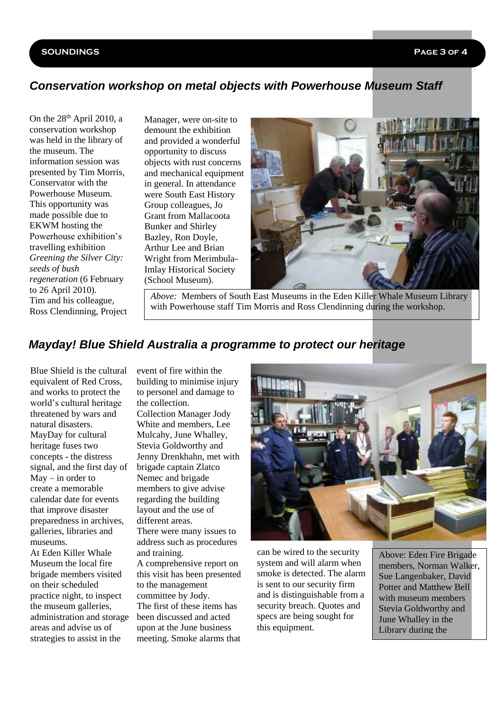#### **SOUNDINGS Page 3 of 4**

### *Conservation workshop on metal objects with Powerhouse Museum Staff*

On the 28<sup>th</sup> April 2010, a conservation workshop was held in the library of the museum. The information session was presented by Tim Morris, Conservator with the Powerhouse Museum. This opportunity was made possible due to EKWM hosting the Powerhouse exhibition's travelling exhibition *Greening the Silver City: seeds of bush regeneration* (6 February to 26 April 2010). Tim and his colleague, Ross Clendinning, Project Manager, were on-site to demount the exhibition and provided a wonderful opportunity to discuss objects with rust concerns and mechanical equipment in general. In attendance were South East History Group colleagues, Jo Grant from Mallacoota Bunker and Shirley Bazley, Ron Doyle, Arthur Lee and Brian Wright from Merimbula-Imlay Historical Society (School Museum).



*Above:* Members of South East Museums in the Eden Killer Whale Museum Library with Powerhouse staff Tim Morris and Ross Clendinning during the workshop.

### *Mayday! Blue Shield Australia a programme to protect our heritage*

Blue Shield is the cultural equivalent of Red Cross, and works to protect the world's cultural heritage threatened by wars and natural disasters. MayDay for cultural heritage fuses two concepts - the distress signal, and the first day of  $M$ ay – in order to create a memorable calendar date for events that improve disaster preparedness in archives, galleries, libraries and museums.

At Eden Killer Whale Museum the local fire brigade members visited on their scheduled practice night, to inspect the museum galleries, administration and storage areas and advise us of strategies to assist in the

event of fire within the building to minimise injury to personel and damage to the collection.

Collection Manager Jody White and members, Lee Mulcahy, June Whalley, Stevia Goldworthy and Jenny Drenkhahn, met with brigade captain Zlatco Nemec and brigade members to give advise regarding the building layout and the use of different areas.

There were many issues to address such as procedures and training.

A comprehensive report on this visit has been presented to the management committee by Jody. The first of these items has been discussed and acted upon at the June business meeting. Smoke alarms that



can be wired to the security system and will alarm when smoke is detected. The alarm is sent to our security firm and is distinguishable from a security breach. Quotes and specs are being sought for this equipment.

Above: Eden Fire Brigade members, Norman Walker, Sue Langenbaker, David Potter and Matthew Bell with museum members Stevia Goldworthy and June Whalley in the Library during the

inspection